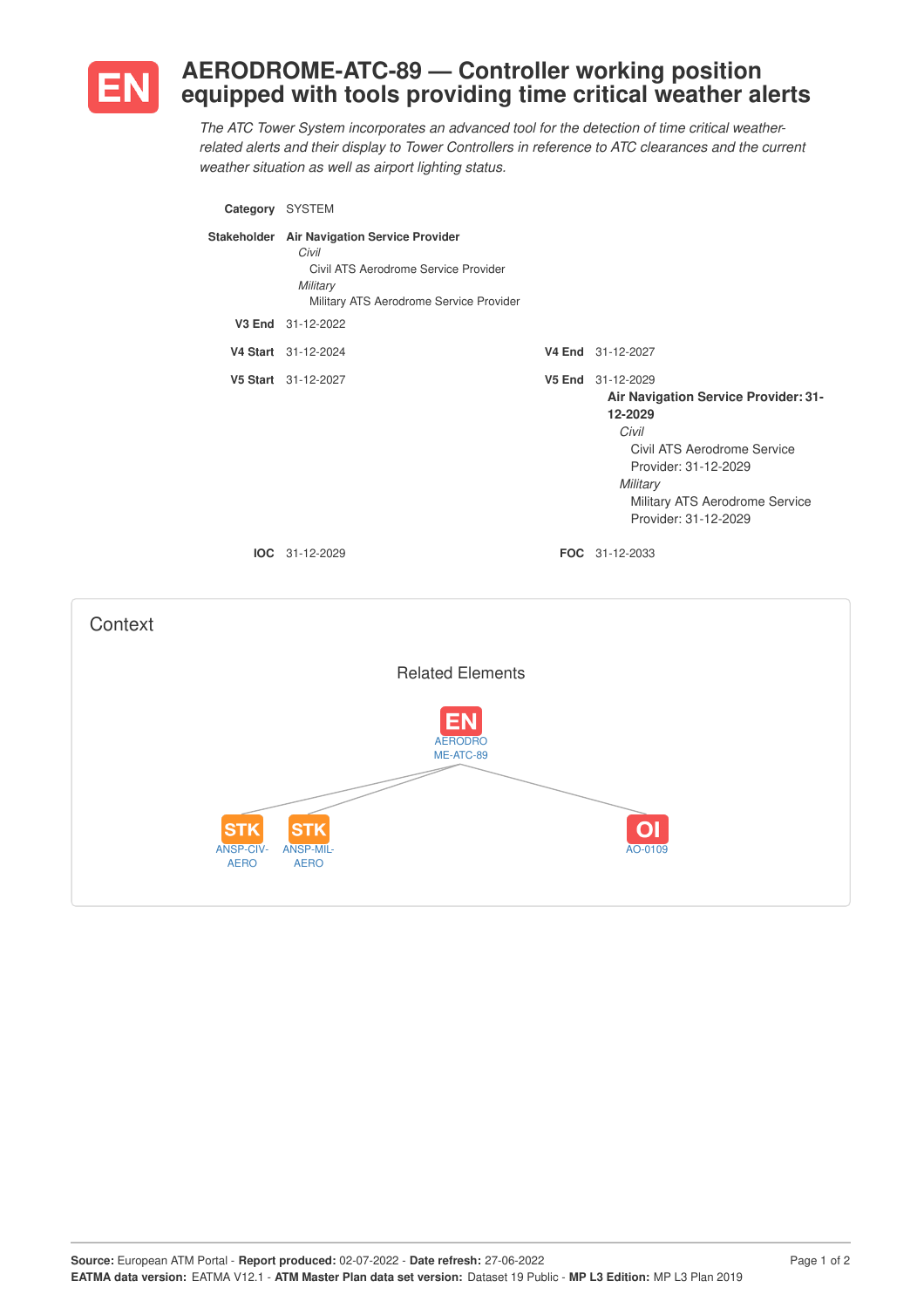

## **AERODROME-ATC-89 — Controller working position equipped with tools providing time critical weather alerts**

*The ATC Tower System incorporates an advanced tool for the detection of time critical weatherrelated alerts and their display to Tower Controllers in reference to ATC clearances and the current weather situation as well as airport lighting status.*

| Category SYSTEM                       |                                                                                                                                                     |                                                                                                                                                                                                            |
|---------------------------------------|-----------------------------------------------------------------------------------------------------------------------------------------------------|------------------------------------------------------------------------------------------------------------------------------------------------------------------------------------------------------------|
|                                       | Stakeholder Air Navigation Service Provider<br>Civil<br>Civil ATS Aerodrome Service Provider<br>Military<br>Military ATS Aerodrome Service Provider |                                                                                                                                                                                                            |
|                                       | V3 End 31-12-2022                                                                                                                                   |                                                                                                                                                                                                            |
|                                       | V4 Start 31-12-2024                                                                                                                                 | V4 End 31-12-2027                                                                                                                                                                                          |
|                                       | V5 Start 31-12-2027                                                                                                                                 | V5 End 31-12-2029<br>Air Navigation Service Provider: 31-<br>12-2029<br>Civil<br>Civil ATS Aerodrome Service<br>Provider: 31-12-2029<br>Military<br>Military ATS Aerodrome Service<br>Provider: 31-12-2029 |
|                                       | IOC 31-12-2029                                                                                                                                      | FOC 31-12-2033                                                                                                                                                                                             |
| Context                               |                                                                                                                                                     |                                                                                                                                                                                                            |
|                                       | <b>Related Elements</b>                                                                                                                             |                                                                                                                                                                                                            |
|                                       | <b>AERODRO</b><br>ME-ATC-89                                                                                                                         |                                                                                                                                                                                                            |
| SТ<br><b>ANSP-CIV-</b><br><b>AERO</b> | ST<br>ANSP-MIL-<br><b>AERO</b>                                                                                                                      | AO-0109                                                                                                                                                                                                    |